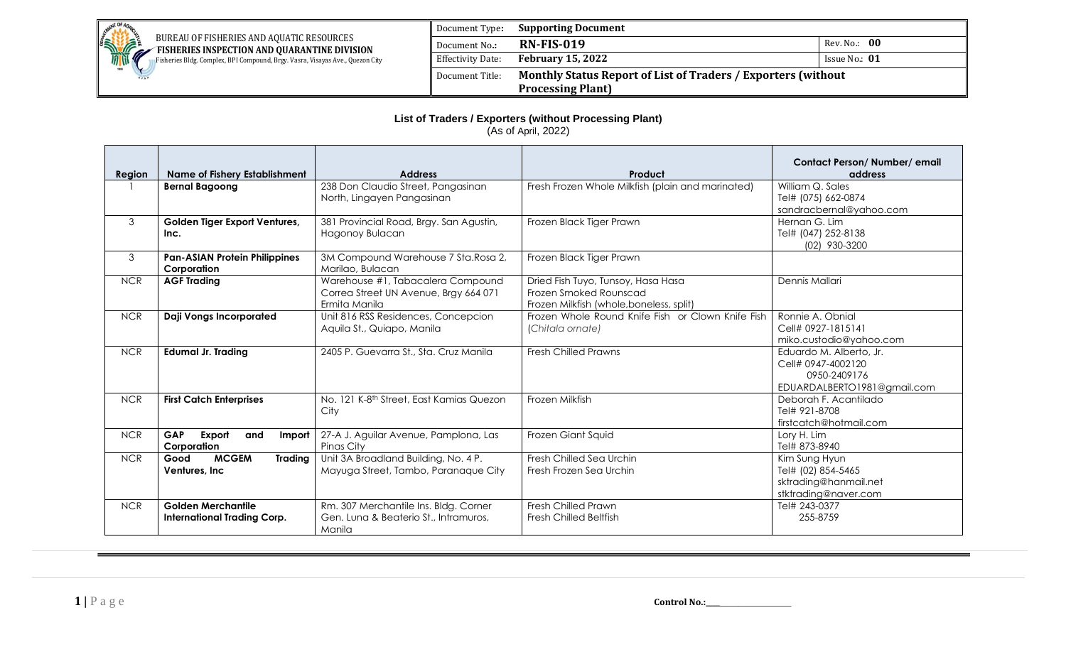

Fisheries Bldg. Complex, BPI Compound, Brgy. Vasra, Visayas Ave., Quezon City

## Document Type**: Supporting Document Document No.: RN-FIS-019** Rev. No.: 00 Effectivity Date: **February 15, 2022 ISSUE NO.: 01** Document Title: **Monthly Status Report of List of Traders / Exporters (without Processing Plant)**

## **List of Traders / Exporters (without Processing Plant)**

(As of April, 2022)

| Region     | <b>Name of Fishery Establishment</b>                            | <b>Address</b>                                                                              | Product                                                                                                  | Contact Person/Number/email<br>address                                                       |
|------------|-----------------------------------------------------------------|---------------------------------------------------------------------------------------------|----------------------------------------------------------------------------------------------------------|----------------------------------------------------------------------------------------------|
|            | <b>Bernal Bagoong</b>                                           | 238 Don Claudio Street, Pangasinan<br>North, Lingayen Pangasinan                            | Fresh Frozen Whole Milkfish (plain and marinated)                                                        | William Q. Sales<br>Tel# (075) 662-0874<br>sandracbernal@yahoo.com                           |
| 3          | Golden Tiger Export Ventures,<br>Inc.                           | 381 Provincial Road, Brgy. San Agustin,<br>Hagonoy Bulacan                                  | Frozen Black Tiger Prawn                                                                                 | Hernan G. Lim<br>Tel# (047) 252-8138<br>(02) 930-3200                                        |
| 3          | <b>Pan-ASIAN Protein Philippines</b><br>Corporation             | 3M Compound Warehouse 7 Sta. Rosa 2,<br>Marilao, Bulacan                                    | Frozen Black Tiger Prawn                                                                                 |                                                                                              |
| <b>NCR</b> | <b>AGF Trading</b>                                              | Warehouse #1, Tabacalera Compound<br>Correa Street UN Avenue, Brgy 664 071<br>Ermita Manila | Dried Fish Tuyo, Tunsoy, Hasa Hasa<br>Frozen Smoked Rounscad<br>Frozen Milkfish (whole, boneless, split) | Dennis Mallari                                                                               |
| <b>NCR</b> | <b>Daji Vongs Incorporated</b>                                  | Unit 816 RSS Residences, Concepcion<br>Aquila St., Quiapo, Manila                           | Frozen Whole Round Knife Fish or Clown Knife Fish<br>(Chitala ornate)                                    | Ronnie A. Obnial<br>Cell# 0927-1815141<br>miko.custodio@yahoo.com                            |
| <b>NCR</b> | <b>Edumal Jr. Trading</b>                                       | 2405 P. Guevarra St., Sta. Cruz Manila                                                      | <b>Fresh Chilled Prawns</b>                                                                              | Eduardo M. Alberto, Jr.<br>Cell# 0947-4002120<br>0950-2409176<br>EDUARDALBERTO1981@gmail.com |
| <b>NCR</b> | <b>First Catch Enterprises</b>                                  | No. 121 K-8 <sup>th</sup> Street, East Kamias Quezon<br>City                                | Frozen Milkfish                                                                                          | Deborah F. Acantilado<br>Tel# 921-8708<br>firstcatch@hotmail.com                             |
| <b>NCR</b> | GAP<br>Export<br>and<br>Import<br>Corporation                   | 27-A J. Aguilar Avenue, Pamplona, Las<br>Pinas City                                         | Frozen Giant Squid                                                                                       | Lory H. Lim<br>Tel# 873-8940                                                                 |
| <b>NCR</b> | <b>MCGEM</b><br><b>Trading</b><br>Good<br>Ventures, Inc         | Unit 3A Broadland Building, No. 4 P.<br>Mayuga Street, Tambo, Paranaque City                | Fresh Chilled Sea Urchin<br>Fresh Frozen Sea Urchin                                                      | Kim Sung Hyun<br>Tel# (02) 854-5465<br>sktrading@hanmail.net<br>stktrading@naver.com         |
| <b>NCR</b> | <b>Golden Merchantile</b><br><b>International Trading Corp.</b> | Rm. 307 Merchantile Ins. Bldg. Corner<br>Gen. Lung & Beaterio St., Intramuros,<br>Manila    | Fresh Chilled Prawn<br><b>Fresh Chilled Beltfish</b>                                                     | Tel# 243-0377<br>255-8759                                                                    |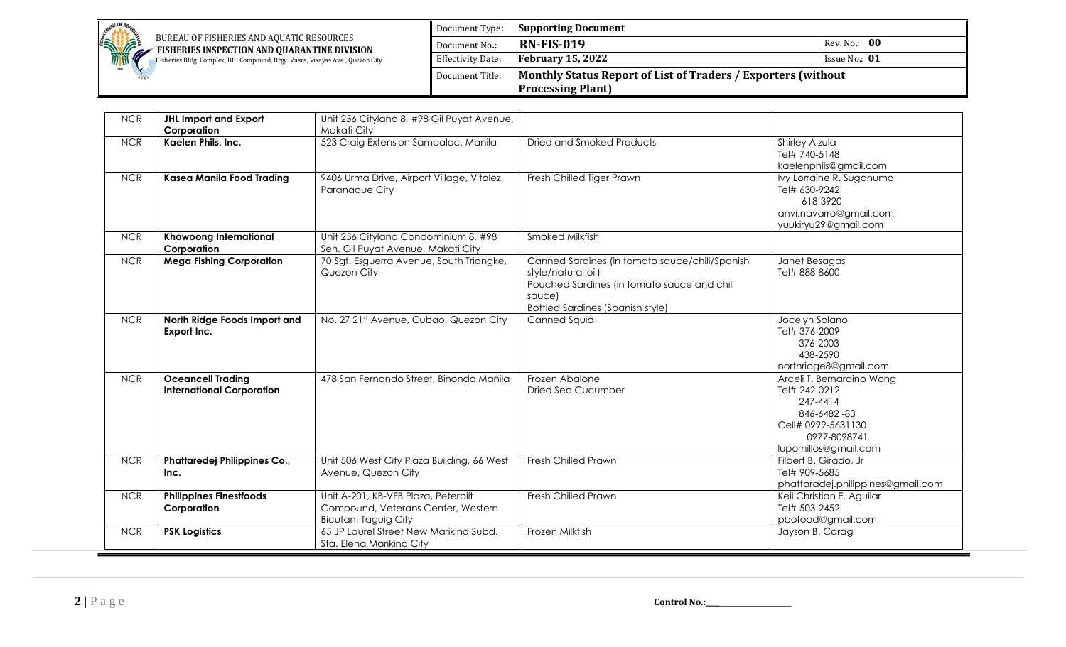

Fisheries Bldg. Complex, BPI Compound, Brgy. Vasra, Visayas Ave., Quezon City

| Document Type:                                                                   | <b>Supporting Document</b> |                 |
|----------------------------------------------------------------------------------|----------------------------|-----------------|
| Document No.:                                                                    | <b>RN-FIS-019</b>          | Rev. No.: 00    |
| Effectivity Date:                                                                | <b>February 15, 2022</b>   | Issue No.: $01$ |
| Monthly Status Report of List of Traders / Exporters (without<br>Document Title: |                            |                 |
|                                                                                  | <b>Processing Plant)</b>   |                 |

| <b>NCR</b> | <b>JHL Import and Export</b><br>Corporation                  | Unit 256 Cityland 8, #98 Gil Puyat Avenue,<br>Makati City                                         |                                                                                                                                                                          |                                                                                                                                      |
|------------|--------------------------------------------------------------|---------------------------------------------------------------------------------------------------|--------------------------------------------------------------------------------------------------------------------------------------------------------------------------|--------------------------------------------------------------------------------------------------------------------------------------|
| <b>NCR</b> | Kaelen Phils. Inc.                                           | 523 Craig Extension Sampaloc, Manila                                                              | Dried and Smoked Products                                                                                                                                                | Shirley Alzula<br>Tel# 740-5148<br>kaelenphils@gmail.com                                                                             |
| <b>NCR</b> | <b>Kasea Manila Food Trading</b>                             | 9406 Urma Drive, Airport Village, Vitalez,<br>Paranaque City                                      | Fresh Chilled Tiger Prawn                                                                                                                                                | Ivy Lorraine R. Suganuma<br>Tel# 630-9242<br>618-3920<br>anvi.navarro@gmail.com<br>yuukiryu29@gmail.com                              |
| <b>NCR</b> | <b>Khowoong International</b><br>Corporation                 | Unit 256 Cityland Condominium 8, #98<br>Sen. Gil Puyat Avenue, Makati City                        | <b>Smoked Milkfish</b>                                                                                                                                                   |                                                                                                                                      |
| <b>NCR</b> | <b>Mega Fishing Corporation</b>                              | 70 Sgt. Esguerra Avenue, South Triangke,<br>Quezon City                                           | Canned Sardines (in tomato sauce/chili/Spanish<br>style/natural oil)<br>Pouched Sardines (in tomato sauce and chili<br>sauce)<br><b>Bottled Sardines (Spanish style)</b> | Janet Besagas<br>Tel# 888-8600                                                                                                       |
| <b>NCR</b> | North Ridge Foods Import and<br>Export Inc.                  | No. 27 21st Avenue, Cubao, Quezon City                                                            | Canned Squid                                                                                                                                                             | Jocelyn Solano<br>Tel# 376-2009<br>376-2003<br>438-2590<br>northridge8@gmail.com                                                     |
| <b>NCR</b> | <b>Oceancell Trading</b><br><b>International Corporation</b> | 478 San Fernando Street, Binondo Manila                                                           | Frozen Abalone<br>Dried Sea Cucumber                                                                                                                                     | Arceli T. Bernardino Wong<br>Tel# 242-0212<br>247-4414<br>846-6482-83<br>Cell# 0999-5631130<br>0977-8098741<br>lupornillos@gmail.com |
| <b>NCR</b> | Phattaredej Philippines Co.,<br>Inc.                         | Unit 506 West City Plaza Building, 66 West<br>Avenue, Quezon City                                 | Fresh Chilled Prawn                                                                                                                                                      | Filbert B. Girado, Jr<br>Tel# 909-5685<br>phattaradej.philippines@gmail.com                                                          |
| <b>NCR</b> | <b>Philippines Finestfoods</b><br>Corporation                | Unit A-201, KB-VFB Plaza, Peterbilt<br>Compound, Veterans Center, Western<br>Bicutan, Taguig City | Fresh Chilled Prawn                                                                                                                                                      | Keil Christian E. Aguilar<br>Tel# 503-2452<br>pbofood@gmail.com                                                                      |
| <b>NCR</b> | <b>PSK Logistics</b>                                         | 65 JP Laurel Street New Marikina Subd.<br>Sta. Elena Marikina City                                | Frozen Milkfish                                                                                                                                                          | Jayson B. Carag                                                                                                                      |

 $2 \mid P \text{ a } g \text{ e}$  **Control No.:\_\_\_\_\_\_\_\_\_\_\_\_\_\_\_\_\_\_\_\_**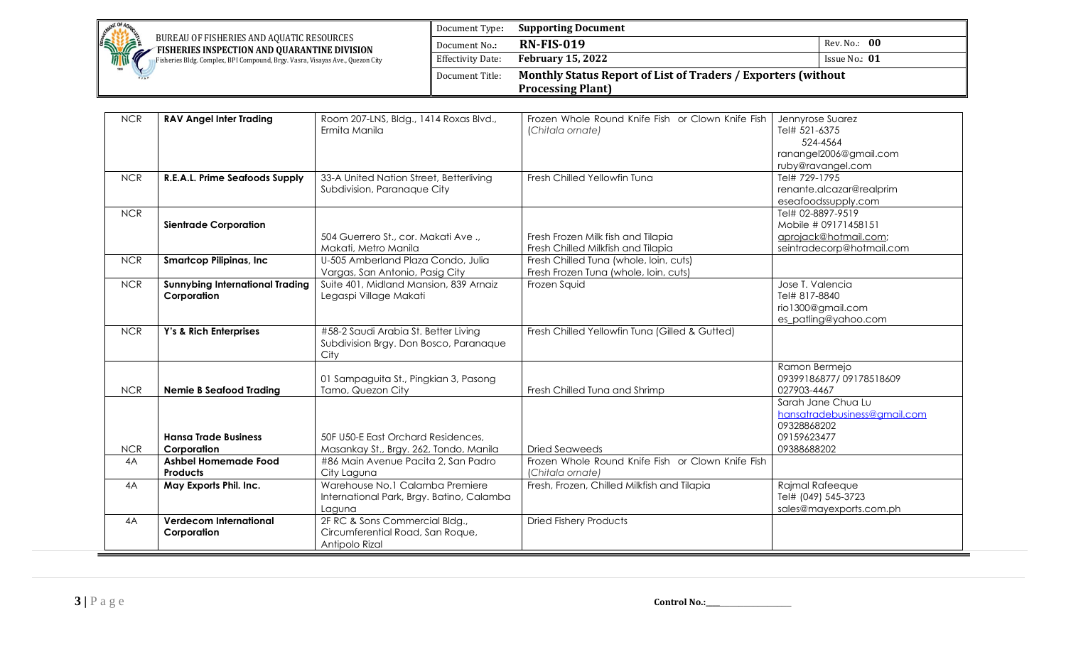

Fisheries Bldg. Complex, BPI Compound, Brgy. Vasra, Visayas Ave., Quezon City

Document Type**: Supporting Document Document No.: RN-FIS-019** Rev. No.: 00 Effectivity Date: **February 15, 2022 ISSUE NO.: 01** Document Title: **Monthly Status Report of List of Traders / Exporters (without Processing Plant)**

| <b>NCR</b> | <b>RAV Angel Inter Trading</b>         | Room 207-LNS, Bldg., 1414 Roxas Blvd.,    | Frozen Whole Round Knife Fish or Clown Knife Fish | Jennyrose Suarez             |
|------------|----------------------------------------|-------------------------------------------|---------------------------------------------------|------------------------------|
|            |                                        | Ermita Manila                             | (Chitala ornate)                                  | Tel# 521-6375                |
|            |                                        |                                           |                                                   | 524-4564                     |
|            |                                        |                                           |                                                   | ranangel2006@gmail.com       |
|            |                                        |                                           |                                                   | ruby@ravangel.com            |
| <b>NCR</b> | R.E.A.L. Prime Seafoods Supply         | 33-A United Nation Street, Betterliving   | Fresh Chilled Yellowfin Tuna                      | Tel# 729-1795                |
|            |                                        | Subdivision, Paranaque City               |                                                   | renante.alcazar@realprim     |
|            |                                        |                                           |                                                   | eseafoodssupply.com          |
| <b>NCR</b> |                                        |                                           |                                                   | Tel# 02-8897-9519            |
|            | <b>Sientrade Corporation</b>           |                                           |                                                   | Mobile # 09171458151         |
|            |                                        | 504 Guerrero St., cor. Makati Ave.,       | Fresh Frozen Milk fish and Tilapia                | aprojack@hotmail.com;        |
|            |                                        | Makati, Metro Manila                      | Fresh Chilled Milkfish and Tilapia                | seintradecorp@hotmail.com    |
| <b>NCR</b> | <b>Smartcop Pilipinas, Inc.</b>        | U-505 Amberland Plaza Condo, Julia        | Fresh Chilled Tuna (whole, loin, cuts)            |                              |
|            |                                        | Vargas, San Antonio, Pasig City           | Fresh Frozen Tuna (whole, loin, cuts)             |                              |
| <b>NCR</b> | <b>Sunnybing International Trading</b> | Suite 401, Midland Mansion, 839 Arnaiz    | Frozen Squid                                      | Jose T. Valencia             |
|            | Corporation                            | Legaspi Village Makati                    |                                                   | Tel# 817-8840                |
|            |                                        |                                           |                                                   | rio1300@gmail.com            |
|            |                                        |                                           |                                                   | es_patling@yahoo.com         |
| <b>NCR</b> | Y's & Rich Enterprises                 | #58-2 Saudi Arabia St. Better Living      | Fresh Chilled Yellowfin Tuna (Gilled & Gutted)    |                              |
|            |                                        | Subdivision Brgy. Don Bosco, Paranaque    |                                                   |                              |
|            |                                        | City                                      |                                                   |                              |
|            |                                        |                                           |                                                   | Ramon Bermejo                |
|            |                                        | 01 Sampaguita St., Pingkian 3, Pasong     |                                                   | 09399186877/09178518609      |
| <b>NCR</b> | <b>Nemie B Seafood Trading</b>         | Tamo, Quezon City                         | Fresh Chilled Tuna and Shrimp                     | 027903-4467                  |
|            |                                        |                                           |                                                   | Sarah Jane Chua Lu           |
|            |                                        |                                           |                                                   | hansatradebusiness@gmail.com |
|            |                                        |                                           |                                                   | 09328868202                  |
|            | <b>Hansa Trade Business</b>            | 50F U50-E East Orchard Residences,        |                                                   | 09159623477                  |
| <b>NCR</b> | Corporation                            | Masankay St., Brgy. 262, Tondo, Manila    | <b>Dried Seaweeds</b>                             | 09388688202                  |
| 4A         | <b>Ashbel Homemade Food</b>            | #86 Main Avenue Pacita 2, San Padro       | Frozen Whole Round Knife Fish or Clown Knife Fish |                              |
|            | Products                               | City Laguna                               | (Chitala ornate)                                  |                              |
| 4A         | May Exports Phil. Inc.                 | Warehouse No.1 Calamba Premiere           | Fresh, Frozen, Chilled Milkfish and Tilapia       | Rajmal Rafeeque              |
|            |                                        | International Park, Brgy. Batino, Calamba |                                                   | Tel# (049) 545-3723          |
|            |                                        | Laguna                                    |                                                   | sales@mayexports.com.ph      |
| 4A         | <b>Verdecom International</b>          | 2F RC & Sons Commercial Bldg.,            | <b>Dried Fishery Products</b>                     |                              |
|            | Corporation                            | Circumferential Road, San Roque,          |                                                   |                              |
|            |                                        | Antipolo Rizal                            |                                                   |                              |

**3 |** P a g e **Control No.:\_\_\_\_**\_\_\_\_\_\_\_\_\_\_\_\_\_\_\_